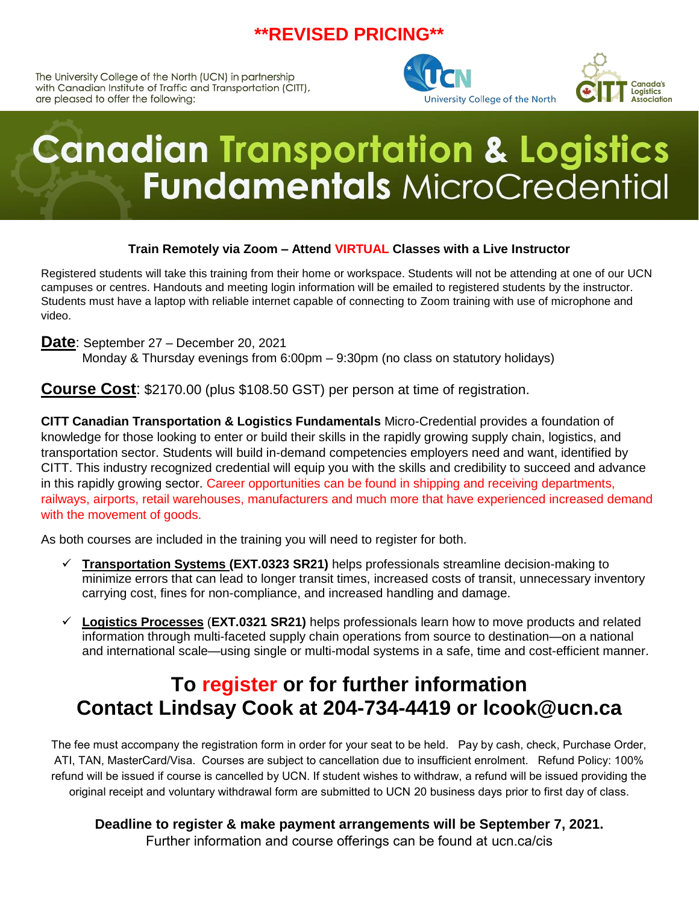## **\*\*REVISED PRICING\*\***

The University College of the North (UCN) in partnership with Canadian Institute of Traffic and Transportation (CITT), are pleased to offer the following:





# **Canadian Transportation & Logistics Fundamentals MicroCredential**

## **Train Remotely via Zoom – Attend VIRTUAL Classes with a Live Instructor**

Registered students will take this training from their home or workspace. Students will not be attending at one of our UCN campuses or centres. Handouts and meeting login information will be emailed to registered students by the instructor. Students must have a laptop with reliable internet capable of connecting to Zoom training with use of microphone and video.

**Date**: September 27 – December 20, 2021

Monday & Thursday evenings from 6:00pm – 9:30pm (no class on statutory holidays)

**Course Cost**: \$2170.00 (plus \$108.50 GST) per person at time of registration.

**CITT Canadian Transportation & Logistics Fundamentals** Micro-Credential provides a foundation of knowledge for those looking to enter or build their skills in the rapidly growing supply chain, logistics, and transportation sector. Students will build in-demand competencies employers need and want, identified by CITT. This industry recognized credential will equip you with the skills and credibility to succeed and advance in this rapidly growing sector. Career opportunities can be found in shipping and receiving departments, railways, airports, retail warehouses, manufacturers and much more that have experienced increased demand with the movement of goods.

As both courses are included in the training you will need to register for both.

- ✓ **Transportation Systems (EXT.0323 SR21)** helps professionals streamline decision-making to minimize errors that can lead to longer transit times, increased costs of transit, unnecessary inventory carrying cost, fines for non-compliance, and increased handling and damage.
- ✓ **Logistics Processes** (**EXT.0321 SR21)** helps professionals learn how to move products and related information through multi-faceted supply chain operations from source to destination—on a national and international scale—using single or multi-modal systems in a safe, time and cost-efficient manner.

# **To register or for further information Contact Lindsay Cook at 204-734-4419 or lcook@ucn.ca**

The fee must accompany the registration form in order for your seat to be held. Pay by cash, check, Purchase Order, ATI, TAN, MasterCard/Visa. Courses are subject to cancellation due to insufficient enrolment. Refund Policy: 100% refund will be issued if course is cancelled by UCN. If student wishes to withdraw, a refund will be issued providing the original receipt and voluntary withdrawal form are submitted to UCN 20 business days prior to first day of class.

## **Deadline to register & make payment arrangements will be September 7, 2021.**

Further information and course offerings can be found at ucn.ca/cis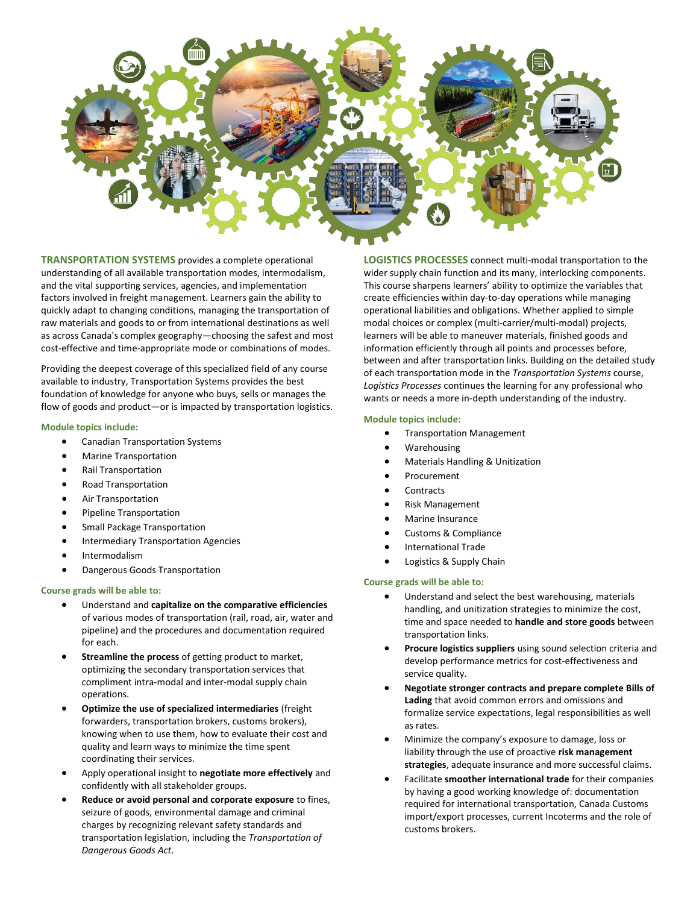

**TRANSPORTATION SYSTEMS** provides a complete operational understanding of all available transportation modes, intermodalism, and the vital supporting services, agencies, and implementation factors involved in freight management. Learners gain the ability to quickly adapt to changing conditions, managing the transportation of raw materials and goods to or from international destinations as well as across Canada's complex geography—choosing the safest and most cost-effective and time-appropriate mode or combinations of modes.

Providing the deepest coverage of this specialized field of any course available to industry, Transportation Systems provides the best foundation of knowledge for anyone who buys, sells or manages the flow of goods and product—or is impacted by transportation logistics.

### **Module topics include:**

- Canadian Transportation Systems
- Marine Transportation
- Rail Transportation
- Road Transportation
- Air Transportation
- Pipeline Transportation
- Small Package Transportation
- Intermediary Transportation Agencies
- **Intermodalism**
- Dangerous Goods Transportation

#### **Course grads will be able to:**

- Understand and **capitalize on the comparative efficiencies** of various modes of transportation (rail, road, air, water and pipeline) and the procedures and documentation required for each.
- **Streamline the process** of getting product to market, optimizing the secondary transportation services that compliment intra-modal and inter-modal supply chain operations.
- **Optimize the use of specialized intermediaries** (freight forwarders, transportation brokers, customs brokers), knowing when to use them, how to evaluate their cost and quality and learn ways to minimize the time spent coordinating their services.
- Apply operational insight to **negotiate more effectively** and confidently with all stakeholder groups.
- **Reduce or avoid personal and corporate exposure** to fines, seizure of goods, environmental damage and criminal charges by recognizing relevant safety standards and transportation legislation, including the *Transportation of Dangerous Goods Act*.

**LOGISTICS PROCESSES** connect multi-modal transportation to the wider supply chain function and its many, interlocking components. This course sharpens learners' ability to optimize the variables that create efficiencies within day-to-day operations while managing operational liabilities and obligations. Whether applied to simple modal choices or complex (multi-carrier/multi-modal) projects, learners will be able to maneuver materials, finished goods and information efficiently through all points and processes before, between and after transportation links. Building on the detailed study of each transportation mode in the *Transportation Systems* course, *Logistics Processes* continues the learning for any professional who wants or needs a more in-depth understanding of the industry.

### **Module topics include:**

- Transportation Management
- **Warehousing**
- Materials Handling & Unitization
- Procurement
- Contracts
- Risk Management
- Marine Insurance
- Customs & Compliance
- International Trade
- Logistics & Supply Chain

## **Course grads will be able to:**

- Understand and select the best warehousing, materials handling, and unitization strategies to minimize the cost, time and space needed to **handle and store goods** between transportation links.
- **Procure logistics suppliers** using sound selection criteria and develop performance metrics for cost-effectiveness and service quality.
- **Negotiate stronger contracts and prepare complete Bills of Lading** that avoid common errors and omissions and formalize service expectations, legal responsibilities as well as rates.
- Minimize the company's exposure to damage, loss or liability through the use of proactive **risk management strategies**, adequate insurance and more successful claims.
- Facilitate **smoother international trade** for their companies by having a good working knowledge of: documentation required for international transportation, Canada Customs import/export processes, current Incoterms and the role of customs brokers.